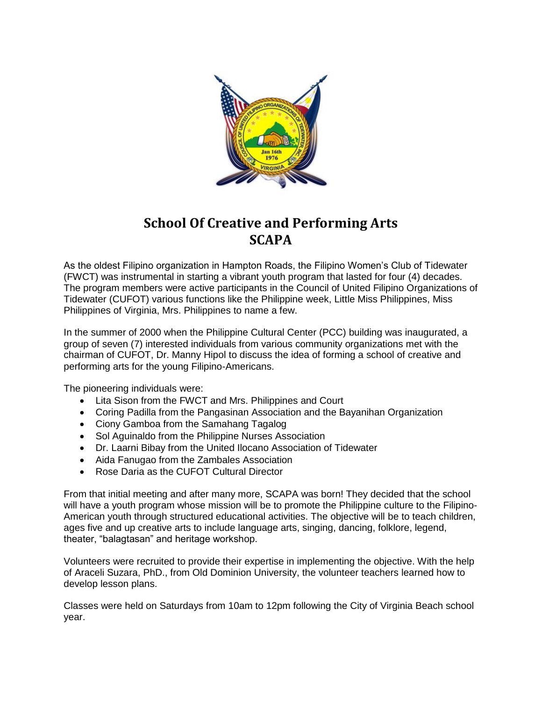

## **School Of Creative and Performing Arts SCAPA**

As the oldest Filipino organization in Hampton Roads, the Filipino Women's Club of Tidewater (FWCT) was instrumental in starting a vibrant youth program that lasted for four (4) decades. The program members were active participants in the Council of United Filipino Organizations of Tidewater (CUFOT) various functions like the Philippine week, Little Miss Philippines, Miss Philippines of Virginia, Mrs. Philippines to name a few.

In the summer of 2000 when the Philippine Cultural Center (PCC) building was inaugurated, a group of seven (7) interested individuals from various community organizations met with the chairman of CUFOT, Dr. Manny Hipol to discuss the idea of forming a school of creative and performing arts for the young Filipino-Americans.

The pioneering individuals were:

- Lita Sison from the FWCT and Mrs. Philippines and Court
- Coring Padilla from the Pangasinan Association and the Bayanihan Organization
- Ciony Gamboa from the Samahang Tagalog
- Sol Aguinaldo from the Philippine Nurses Association
- Dr. Laarni Bibay from the United Ilocano Association of Tidewater
- Aida Fanugao from the Zambales Association
- Rose Daria as the CUFOT Cultural Director

From that initial meeting and after many more, SCAPA was born! They decided that the school will have a youth program whose mission will be to promote the Philippine culture to the Filipino-American youth through structured educational activities. The objective will be to teach children, ages five and up creative arts to include language arts, singing, dancing, folklore, legend, theater, "balagtasan" and heritage workshop.

Volunteers were recruited to provide their expertise in implementing the objective. With the help of Araceli Suzara, PhD., from Old Dominion University, the volunteer teachers learned how to develop lesson plans.

Classes were held on Saturdays from 10am to 12pm following the City of Virginia Beach school year.